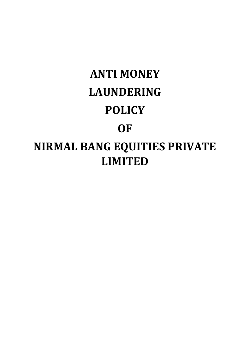# **ANTI MONEY LAUNDERING POLICY OF NIRMAL BANG EQUITIES PRIVATE LIMITED**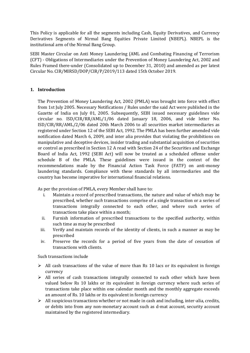This Policy is applicable for all the segments including Cash, Equity Derivatives, and Currency Derivatives Segments of Nirmal Bang Equities Private Limited (NBEPL). NBEPL is the institutional arm of the Nirmal Bang Group.

SEBI Master Circular on Anti Money Laundering (AML and Combating Financing of Terrorism (CFT) ‐ Obligations of Intermediaries under the Prevention of Money Laundering Act, 2002 and Rules Framed there‐under (Consolidated up to December 31, 2010) and amended as per latest Circular No. CIR/MIRSD/DOP/CIR/P/2019/113 dated 15th October 2019.

# **1. Introduction**

The Prevention of Money Laundering Act, 2002 (PMLA) was brought into force with effect from 1st July 2005. Necessary Notifications / Rules under the said Act were published in the Gazette of India on July 01, 2005. Subsequently, SEBI issued necessary guidelines vide circular no. ISD/CIR/RR/AML/1/06 dated January 18, 2006, and vide letter No. ISD/CIR/RR/AML/2/06 dated 20th March 2006 to all securities market intermediaries as registered under Section 12 of the SEBI Act, 1992. The PMLA has been further amended vide notification dated March 6, 2009, and inter alia provides that violating the prohibitions on manipulative and deceptive devices, insider trading and substantial acquisition of securities or control as prescribed in Section 12 A read with Section 24 of the Securities and Exchange Board of India Act, 1992 (SEBI Act) will now be treated as a scheduled offense under schedule B of the PMLA. These guidelines were issued in the context of the recommendations made by the Financial Action Task Force (FATF) on anti-money laundering standards. Compliance with these standards by all intermediaries and the country has become imperative for international financial relations.

As per the provision of PMLA, every Member shall have to:

- i. Maintain a record of prescribed transactions, the nature and value of which may be prescribed, whether *such* transactions comprise of a single transaction or a series of transactions integrally connected to each other, and where such series of transactions take place within a month;
- ii. Furnish information of prescribed transactions to the specified authority, within such time as may be prescribed
- iii. Verify and maintain records of the identity of clients, in such a manner as may be prescribed
- iv. Preserve the records for a period of five years from the date of cessation of transactions with clients.

Such transactions include

- $\triangleright$  All cash transactions of the value of more than Rs 10 lacs or its equivalent in foreign currency
- $\triangleright$  All series of cash transactions integrally connected to each other which have been valued below Rs 10 lakhs or its equivalent in foreign currency where such series of transactions take place within one calendar month and the monthly aggregate exceeds an amount of Rs. 10 lakhs or its equivalent in foreign currency
- $\triangleright$  All suspicious transactions whether or not made in cash and including, inter-alia, credits, or debits into from any non-monetary account such as d-mat account, security account maintained by the registered intermediary.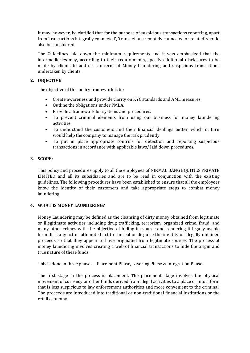It may, however, be clarified that for the purpose of suspicious transactions reporting, apart from 'transactions integrally connected', 'transactions remotely connected or related' should also be considered

The Guidelines laid down the minimum requirements and it was emphasized that the intermediaries may, according to their requirements, specify additional disclosures to be made by clients to address concerns of Money Laundering and suspicious transactions undertaken by clients.

# **2. OBJECTIVE**

The objective of this policy framework is to:

- Create awareness and provide clarity on KYC standards and AML measures.
- Outline the obligations under PMLA.
- Provide a framework for systems and procedures.
- To prevent criminal elements from using our business for money laundering activities
- To understand the customers and their financial dealings better, which in turn would help the company to manage the risk prudently
- To put in place appropriate controls for detection and reporting suspicious transactions in accordance with applicable laws/ laid down procedures.

# **3. SCOPE:**

This policy and procedures apply to all the employees of NIRMAL BANG EQUITIES PRIVATE LIMITED and all its subsidiaries and are to be read in conjunction with the existing guidelines. The following procedures have been established to ensure that all the employees know the identity of their customers and take appropriate steps to combat money laundering.

# **4. WHAT IS MONEY LAUNDERING?**

Money Laundering may be defined as the cleansing of dirty money obtained from legitimate or illegitimate activities including drug trafficking, terrorism, organized crime, fraud, and many other crimes with the objective of hiding its source and rendering it legally usable form. It is any act or attempted act to conceal or disguise the identity of illegally obtained proceeds so that they appear to have originated from legitimate sources. The process of money laundering involves creating a web of financial transactions to hide the origin and true nature of these funds.

This is done in three phases – Placement Phase, Layering Phase & Integration Phase.

The first stage in the process is placement. The placement stage involves the physical movement of currency or other funds derived from illegal activities to a place or into a form that is less suspicious to law enforcement authorities and more convenient to the criminal. The proceeds are introduced into traditional or non-traditional financial institutions or the retail economy.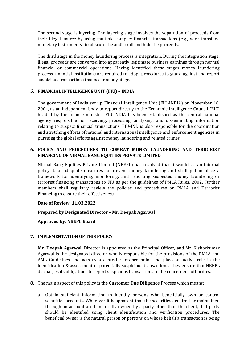The second stage is layering. The layering stage involves the separation of proceeds from their illegal source by using multiple complex financial transactions (e.g., wire transfers, monetary instruments) to obscure the audit trail and hide the proceeds.

The third stage in the money laundering process is integration. During the integration stage, illegal proceeds are converted into apparently legitimate business earnings through normal financial or commercial operations. Having identified these stages money laundering process, financial institutions are required to adopt procedures to guard against and report suspicious transactions that occur at any stage.

# **5. FINANCIAL INTELLIGENCE UNIT (FIU) – INDIA**

The government of India set up Financial Intelligence Unit (FIU-INDIA) on November 18, 2004, as an independent body to report directly to the Economic Intelligence Council (EIC) headed by the finance minister. FIU-INDIA has been established as the central national agency responsible for receiving, processing, analyzing, and disseminating information relating to suspect financial transactions. FIU-IND is also responsible for the coordination and stretching efforts of national and international intelligence and enforcement agencies in pursuing the global efforts against money laundering and related crimes.

# **6. POLICY AND PROCEDURES TO COMBAT MONEY LAUNDERING AND TERRORIST FINANCING OF NIRMAL BANG EQUITIES PRIVATE LIMITED**

Nirmal Bang Equities Private Limited (NBEPL) has resolved that it would, as an internal policy, take adequate measures to prevent money laundering and shall put in place a framework for identifying, monitoring, and reporting suspected money laundering or terrorist financing transactions to FIU as per the guidelines of PMLA Rules, 2002. Further members shall regularly review the policies and procedures on PMLA and Terrorist Financing to ensure their effectiveness.

**Date of Review: 11.03.2022**

**Prepared by Designated Director – Mr. Deepak Agarwal**

**Approved by: NBEPL Board**

# **7. IMPLEMENTATION OF THIS POLICY**

**Mr. Deepak Agarwal**, Director is appointed as the Principal Officer, and Mr. Kishorkumar Agarwal is the designated director who is responsible for the provisions of the PMLA and AML Guidelines and acts as a central reference point and plays an active role in the identification & assessment of potentially suspicious transactions. They ensure that NBEPL discharges its obligations to report suspicious transactions to the concerned authorities.

- **8.** The main aspect of this policy is the **Customer Due Diligence** Process which means:
	- a. Obtain sufficient information to identify persons who beneficially own or control securities accounts. Wherever it is apparent that the securities acquired or maintained through an account are beneficially owned by a party other than the client, that party should be identified using client identification and verification procedures. The beneficial owner is the natural person or persons on whose behalf a transaction is being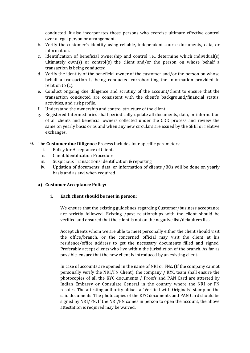conducted. It also incorporates those persons who exercise ultimate effective control over a legal person or arrangement.

- b. Verify the customer's identity using reliable, independent source documents, data, or information.
- c. Identification of beneficial ownership and control i.e., determine which individual(s) ultimately own(s) or control(s) the client and/or the person on whose behalf a transaction is being conducted.
- d. Verify the identity of the beneficial owner of the customer and/or the person on whose behalf a transaction is being conducted corroborating the information provided in relation to (c).
- e. Conduct ongoing due diligence and scrutiny of the account/client to ensure that the transaction conducted are consistent with the client's background/financial status, activities, and risk profile.
- f. Understand the ownership and control structure of the client.
- g. Registered Intermediaries shall periodically update all documents, data, or information of all clients and beneficial owners collected under the CDD process and review the same on yearly basis or as and when any new circulars are issued by the SEBI or relative exchanges.
- **9.** The **Customer due Diligence** Process includes four specific parameters:
	- i. Policy for Acceptance of Clients
	- ii. Client Identification Procedure
	- iii. Suspicious Transactions identification & reporting
	- iv. Updation of documents, data, or information of clients /BOs will be done on yearly basis and as and when required.

#### **a) Customer Acceptance Policy:**

#### **i. Each client should be met in person:**

We ensure that the existing guidelines regarding Customer/business acceptance are strictly followed. Existing /past relationships with the client should be verified and ensured that the client is not on the negative list/defaulters list.

Accept clients whom we are able to meet personally either the client should visit the office/branch, or the concerned official may visit the client at his residence/office address to get the necessary documents filled and signed. Preferably accept clients who live within the jurisdiction of the branch. As far as possible, ensure that the new client is introduced by an existing client.

In case of accounts are opened in the name of NRI or FNs. (If the company cannot personally verify the NRI/FN Client), the company / KYC team shall ensure the photocopies of all the KYC documents / Proofs and PAN Card are attested by Indian Embassy or Consulate General in the country where the NRI or FN resides. The attesting authority affixes a "Verified with Originals" stamp on the said documents. The photocopies of the KYC documents and PAN Card should be signed by NRI/FN. If the NRI/FN comes in person to open the account, the above attestation is required may be waived.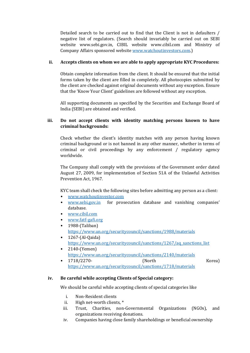Detailed search to be carried out to find that the Client is not in defaulters / negative list of regulators. (Search should invariably be carried out on SEBI website www.sebi.gov.in, CIBIL website www.cibil.com and Ministry of Company Affairs sponsored websit[e www.watchoutinvestors.com.](http://www.watchoutinvestors.com/))

# **ii. Accepts clients on whom we are able to apply appropriate KYC Procedures:**

Obtain complete information from the client. It should be ensured that the initial forms taken by the client are filled in completely. All photocopies submitted by the client are checked against original documents without any exception. Ensure that the 'Know Your Client' guidelines are followed without any exception.

All supporting documents as specified by the Securities and Exchange Board of India (SEBI) are obtained and verified.

# **iii. Do not accept clients with identity matching persons known to have criminal backgrounds:**

Check whether the client's identity matches with any person having known criminal background or is not banned in any other manner, whether in terms of criminal or civil proceedings by any enforcement / regulatory agency worldwide.

The Company shall comply with the provisions of the Government order dated August 27, 2009, for implementation of Section 51A of the Unlawful Activities Prevention Act, 1967.

KYC team shall check the following sites before admitting any person as a client:

- [www.watchoutinvestor.com](http://www.watchoutinvestor.com/)
- [www.sebi.gov.in](http://www.sebi.gov.in/) for prosecution database and vanishing companies' database.
- [www.cibil.com](http://www.cibil.com/)
- [www.fatf-gafi.org](http://www.fatf-gafi.org/) • 1988-(Taliban)
- <https://www.un.org/securitycouncil/sanctions/1988/materials>
- 1267-(Al-Qaida) [https://www.un.org/securitycouncil/sanctions/1267/aq\\_sanctions\\_list](https://www.un.org/securitycouncil/sanctions/1267/aq_sanctions_list)
- 2140-(Yemen) <https://www.un.org/securitycouncil/sanctions/2140/materials>
- 1718/2270- (North Korea) <https://www.un.org/securitycouncil/sanctions/1718/materials>

# **iv. Be careful while accepting Clients of Special category:**

We should be careful while accepting clients of special categories like

- i. Non-Resident clients
- ii. High net-worth clients, \*
- iii. Trust, Charities, non-Governmental Organizations (NGOs), and organizations receiving donations.
- iv. Companies having close family shareholdings or beneficial ownership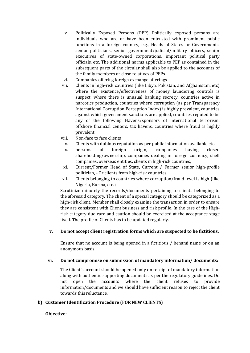- v. Politically Exposed Persons (PEP) Politically exposed persons are individuals who are or have been entrusted with prominent public functions in a foreign country, e.g., Heads of States or Governments, senior politicians, senior government/judicial/military officers, senior executives of state-owned corporations, important political party officials, etc. The additional norms applicable to PEP as contained in the subsequent parts of the circular shall also be applied to the accounts of the family members or close relatives of PEPs.
- vi. Companies offering foreign exchange offerings
- vii. Clients in high-risk countries (like Libya, Pakistan, and Afghanistan, etc) where the existence/effectiveness of money laundering controls is suspect, where there is unusual banking secrecy, countries active in narcotics production, countries where corruption (as per Transparency International Corruption Perception Index) is highly prevalent, countries against which government sanctions are applied, countries reputed to be any of the following Havens/sponsors of international terrorism, offshore financial centers, tax havens, countries where fraud is highly prevalent.
- viii. Non-face to face clients
	- ix. Clients with dubious reputation as per public information available etc.
	- x. persons of foreign origin, companies having closed shareholding/ownership, companies dealing in foreign currency, shell companies, overseas entities, clients in high-risk countries,
	- xi. Current/Former Head of State, Current / Former senior high-profile politician, - Or clients from high-risk countries
- xii. Clients belonging to countries where corruption/fraud level is high (like Nigeria, Burma, etc.)

Scrutinize minutely the records/documents pertaining to clients belonging to the aforesaid category. The client of a special category should be categorized as a high-risk client. Member shall closely examine the transaction in order to ensure they are consistent with Client business and risk profile. In the case of the Highrisk category due care and caution should be exercised at the acceptance stage itself. The profile of Clients has to be updated regularly.

# **v. Do not accept client registration forms which are suspected to be fictitious:**

Ensure that no account is being opened in a fictitious / benami name or on an anonymous basis.

# **vi. Do not compromise on submission of mandatory information/ documents:**

The Client's account should be opened only on receipt of mandatory information along with authentic supporting documents as per the regulatory guidelines. Do not open the accounts where the client refuses to provide information/documents and we should have sufficient reason to reject the client towards this reluctance.

# **b) Customer Identification Procedure (FOR NEW CLIENTS)**

# **Objective:**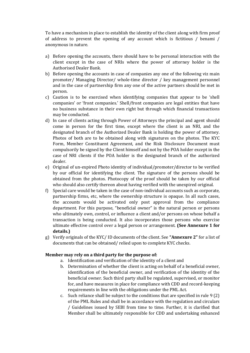To have a mechanism in place to establish the identity of the client along with firm proof of address to prevent the opening of any account which is fictitious / benami / anonymous in nature.

- a) Before opening the accounts, there should have to be personal interaction with the client except in the case of NRIs where the power of attorney holder is the Authorised Dealer Bank.
- b) Before opening the accounts in case of companies any one of the following viz main promoter/ Managing Director/ whole-time director / key management personnel and in the case of partnership firm any one of the active partners should be met in person.
- c) Caution is to be exercised when identifying companies that appear to be 'shell companies' or 'front companies.' Shell/front companies are legal entities that have no business substance in their own right but through which financial transactions may be conducted.
- d) In case of clients acting through Power of Attorneys the principal and agent should come in person for the first time, except where the client is an NRI, and the designated branch of the Authorized Dealer Bank is holding the power of attorney. Photos of both are to be obtained along with signatures on the photos. The KYC Form, Member Constituent Agreement, and the Risk Disclosure Document must compulsorily be signed by the Client himself and not by the POA holder except in the case of NRI clients if the POA holder is the designated branch of the authorized dealer.
- e) Original of un-expired Photo identity of individual/promoter/director to be verified by our official for identifying the client. The signature of the persons should be obtained from the photos. Photocopy of the proof should be taken by our official who should also certify thereon about having verified with the unexpired original.
- f) Special care would be taken in the case of non-individual accounts such as corporate, partnership firms, etc, where the ownership structure is opaque. In all such cases, the accounts would be activated only post approval from the compliance department. For this purpose, "beneficial owner" is the natural person or persons who ultimately own, control, or influence a client and/or persons on whose behalf a transaction is being conducted. It also incorporates those persons who exercise ultimate effective control over a legal person or arrangement. **(See Annexure 1 for details.)**
- g) Verify originals of the KYC/ ID documents of the client. See **"Annexure 2"** for a list of documents that can be obtained/ relied upon to complete KYC checks.

# **Member may rely on a third party for the purpose of:**

- a. Identification and verification of the identity of a client and
- b. Determination of whether the client is acting on behalf of a beneficial owner, identification of the beneficial owner, and verification of the identity of the beneficial owner. Such third party shall be regulated, supervised, or monitor for, and have measures in place for compliance with CDD and record-keeping requirements in line with the obligations under the PML Act.
- c. Such reliance shall be subject to the conditions that are specified in rule 9 (2) of the PML Rules and shall be in accordance with the regulation and circulars / Guidelines issued by SEBI from time to time. Further, it is clarified that Member shall be ultimately responsible for CDD and undertaking enhanced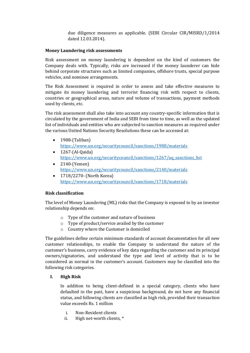due diligence measures as applicable. (SEBI Circular CIR/MISRD/1/2014 dated 12.03.2014).

#### **Money Laundering risk assessments**

Risk assessment on money laundering is dependent on the kind of customers the Company deals with. Typically, risks are increased if the money launderer can hide behind corporate structures such as limited companies, offshore trusts, special purpose vehicles, and nominee arrangements.

The Risk Assessment is required in order to assess and take effective measures to mitigate its money laundering and terrorist financing risk with respect to clients, countries or geographical areas, nature and volume of transactions, payment methods used by clients, etc.

The risk assessment shall also take into account any country-specific information that is circulated by the government of India and SEBI from time to time, as well as the updated list of individuals and entities who are subjected to sanction measures as required under the various United Nations Security Resolutions these can be accessed at:

- 1988-(Taliban) <https://www.un.org/securitycouncil/sanctions/1988/materials>
- $\bullet$  1267-(Al-Qaida) [https://www.un.org/securitycouncil/sanctions/1267/aq\\_sanctions\\_list](https://www.un.org/securitycouncil/sanctions/1267/aq_sanctions_list)
- 2140-(Yemen) <https://www.un.org/securitycouncil/sanctions/2140/materials>
- 1718/2270- (North Korea) <https://www.un.org/securitycouncil/sanctions/1718/materials>

# **Risk classification**

The level of Money Laundering (ML) risks that the Company is exposed to by an investor relationship depends on:

- o Type of the customer and nature of business
- o Type of product/service availed by the customer
- o Country where the Customer is domiciled

The guidelines define certain minimum standards of account documentation for all new customer relationships, to enable the Company to understand the nature of the customer's business, carry evidence of key data regarding the customer and its principal owners/signatories, and understand the type and level of activity that is to be considered as normal in the customer's account. Customers may be classified into the following risk categories.

# **I. High Risk**

In addition to being client-defined in a special category, clients who have defaulted in the past, have a suspicious background, do not have any financial status, and following clients are classified as high risk, provided their transaction value exceeds Rs. 1 million

- i. Non-Resident clients
- ii. High net-worth clients, \*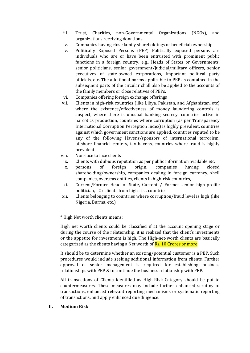- iii. Trust, Charities, non-Governmental Organizations (NGOs), and organizations receiving donations.
- iv. Companies having close family shareholdings or beneficial ownership
- v. Politically Exposed Persons (PEP) Politically exposed persons are individuals who are or have been entrusted with prominent public functions in a foreign country, e.g., Heads of States or Governments, senior politicians, senior government/judicial/military officers, senior executives of state-owned corporations, important political party officials, etc. The additional norms applicable to PEP as contained in the subsequent parts of the circular shall also be applied to the accounts of the family members or close relatives of PEPs.
- vi. Companies offering foreign exchange offerings
- vii. Clients in high-risk countries (like Libya, Pakistan, and Afghanistan, etc) where the existence/effectiveness of money laundering controls is suspect, where there is unusual banking secrecy, countries active in narcotics production, countries where corruption (as per Transparency International Corruption Perception Index) is highly prevalent, countries against which government sanctions are applied, countries reputed to be any of the following Havens/sponsors of international terrorism, offshore financial centers, tax havens, countries where fraud is highly prevalent.
- viii. Non-face to face clients
	- ix. Clients with dubious reputation as per public information available etc.
	- x. persons of foreign origin, companies having closed shareholding/ownership, companies dealing in foreign currency, shell companies, overseas entities, clients in high-risk countries,
- xi. Current/Former Head of State, Current / Former senior high-profile politician, - Or clients from high-risk countries
- xii. Clients belonging to countries where corruption/fraud level is high (like Nigeria, Burma, etc.)

\* High Net worth clients means:

High net worth clients could be classified if at the account opening stage or during the course of the relationship, it is realized that the client's investments or the appetite for investment is high. The High-net-worth clients are basically categorized as the clients having a Net worth of **Rs. 10 Crores or more**.

It should be to determine whether an existing/potential customer is a PEP. Such procedures would include seeking additional information from clients. Further approval of senior management is required for establishing business relationships with PEP & to continue the business relationship with PEP.

All transactions of Clients identified as High-Risk Category should be put to countermeasures. These measures may include further enhanced scrutiny of transactions, enhanced relevant reporting mechanisms or systematic reporting of transactions, and apply enhanced due diligence.

# **II. Medium Risk**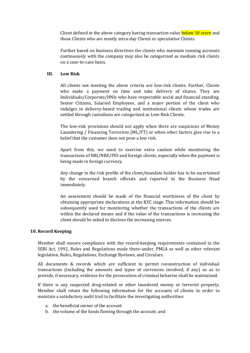Client defined in the above category having transaction value **below 10 crore** and those Clients who are mostly intra-day Clients or speculative Clients.

Further based on business directives the clients who maintain running accounts continuously with the company may also be categorized as medium risk clients on a case-to-case basis.

#### **III. Low Risk**

All clients not meeting the above criteria are low-risk clients. Further, Clients who make a payment on time and take delivery of shares. They are Individuals/Corporate/HNIs who have respectable social and financial standing. Senior Citizens, Salaried Employees, and a major portion of the client who indulges in delivery-based trading and institutional clients whose trades are settled through custodians are categorized as Low-Risk Clients.

The low-risk provisions should not apply when there are suspicions of Money Laundering / Financing Terrorism (ML/FT) or when other factors give rise to a belief that the customer does not pose a low risk.

Apart from this, we need to exercise extra caution while monitoring the transactions of NRI/NRE/PIO and foreign clients, especially when the payment is being made in foreign currency.

Any change in the risk profile of the client/mandate holder has to be ascertained by the concerned branch officials and reported to the Business Head immediately.

An assessment should be made of the financial worthiness of the client by obtaining appropriate declarations at the KYC stage. This information should be subsequently used for monitoring whether the transactions of the clients are within the declared means and if the value of the transactions is increasing the client should be asked to disclose the increasing sources.

#### **10. Record Keeping**

Member shall ensure compliance with the record-keeping requirements contained in the SEBI Act, 1992, Rules and Regulations made there-under, PMLA as well as other relevant legislation, Rules, Regulations, Exchange Byelaws, and Circulars.

All documents & records which are sufficient to permit reconstruction of individual transactions (including the amounts and types of currencies involved, if any) so as to provide, if necessary, evidence for the prosecution of criminal behavior shall be maintained.

If there is any suspected drug-related or other laundered money or terrorist property, Member shall retain the following information for the accounts of clients in order to maintain a satisfactory audit trail to facilitate the investigating authorities:

- a. the beneficial owner of the account
- b. the volume of the funds flowing through the account; and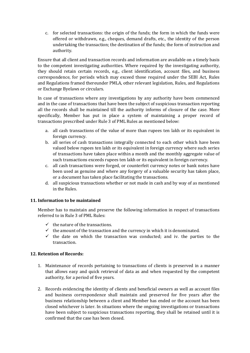c. for selected transactions: the origin of the funds; the form in which the funds were offered or withdrawn, e.g., cheques, demand drafts, etc., the identity of the person undertaking the transaction; the destination of the funds; the form of instruction and authority.

Ensure that all client and transaction records and information are available on a timely basis to the competent investigating authorities. Where required by the investigating authority, they should retain certain records, e.g., client identification, account files, and business correspondence, for periods which may exceed those required under the SEBI Act, Rules and Regulations framed thereunder PMLA, other relevant legislation, Rules, and Regulations or Exchange Byelaws or circulars.

In case of transactions where any investigations by any authority have been commenced and in the case of transactions that have been the subject of suspicious transaction reporting all the records shall be maintained till the authority informs of closure of the case. More specifically, Member has put in place a system of maintaining a proper record of transactions prescribed under Rule 3 of PML Rules as mentioned below:

- a. all cash transactions of the value of more than rupees ten lakh or its equivalent in foreign currency.
- b. all series of cash transactions integrally connected to each other which have been valued below rupees ten lakh or its equivalent in foreign currency where such series of transactions have taken place within a month and the monthly aggregate value of such transactions exceeds rupees ten lakh or its equivalent in foreign currency.
- c. all cash transactions were forged, or counterfeit currency notes or bank notes have been used as genuine and where any forgery of a valuable security has taken place, or a document has taken place facilitating the transactions.
- d. all suspicious transactions whether or not made in cash and by way of as mentioned in the Rules.

# **11. Information to be maintained**

Member has to maintain and preserve the following information in respect of transactions referred to in Rule 3 of PML Rules:

- $\checkmark$  the nature of the transactions.
- $\checkmark$  the amount of the transaction and the currency in which it is denominated.
- $\checkmark$  the date on which the transaction was conducted; and iv. the parties to the transaction.

# **12. Retention of Records:**

- 1. Maintenance of records pertaining to transactions of clients is preserved in a manner that allows easy and quick retrieval of data as and when requested by the competent authority, for a period of five years.
- 2. Records evidencing the identity of clients and beneficial owners as well as account files and business correspondence shall maintain and preserved for five years after the business relationship between a client and Member has ended or the account has been closed whichever is later. In situations where the ongoing investigations or transactions have been subject to suspicious transactions reporting, they shall be retained until it is confirmed that the case has been closed.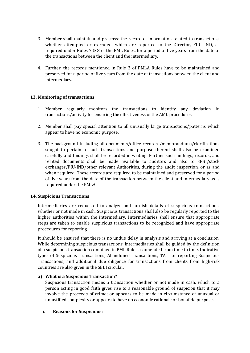- 3. Member shall maintain and preserve the record of information related to transactions, whether attempted or executed, which are reported to the Director, FIU- IND, as required under Rules 7 & 8 of the PML Rules, for a period of five years from the date of the transactions between the client and the intermediary.
- 4. Further, the records mentioned in Rule 3 of PMLA Rules have to be maintained and preserved for a period of five years from the date of transactions between the client and intermediary.

# **13. Monitoring of transactions**

- 1. Member regularly monitors the transactions to identify any deviation in transactions/activity for ensuring the effectiveness of the AML procedures.
- 2. Member shall pay special attention to all unusually large transactions/patterns which appear to have no economic purpose.
- 3. The background including all documents/office records /memorandums/clarifications sought to pertain to such transactions and purpose thereof shall also be examined carefully and findings shall be recorded in writing. Further such findings, records, and related documents shall be made available to auditors and also to SEBI/stock exchanges/FIU-IND/other relevant Authorities, during the audit, inspection, or as and when required. These records are required to be maintained and preserved for a period of five years from the date of the transaction between the client and intermediary as is required under the PMLA.

# **14. Suspicious Transactions**

Intermediaries are requested to analyze and furnish details of suspicious transactions, whether or not made in cash. Suspicious transactions shall also be regularly reported to the higher authorities within the intermediary. Intermediaries shall ensure that appropriate steps are taken to enable suspicious transactions to be recognized and have appropriate procedures for reporting.

It should be ensured that there is no undue delay in analysis and arriving at a conclusion. While determining suspicious transactions, intermediaries shall be guided by the definition of a suspicious transaction contained in PML Rules as amended from time to time. Indicative types of Suspicious Transactions, Abandoned Transactions, TAT for reporting Suspicious Transactions, and additional due diligence for transactions from clients from high-risk countries are also given in the SEBI circular.

# **a) What is a Suspicious Transaction?**

Suspicious transaction means a transaction whether or not made in cash, which to a person acting in good faith gives rise to a reasonable ground of suspicion that it may involve the proceeds of crime; or appears to be made in circumstance of unusual or unjustified complexity or appears to have no economic rationale or bonafide purpose.

# **i. Reasons for Suspicious:**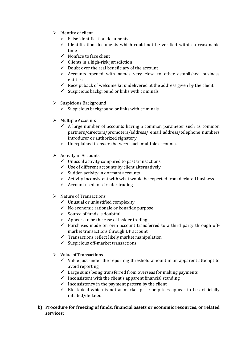- $\triangleright$  Identity of client
	- $\checkmark$  False identification documents
	- $\checkmark$  Identification documents which could not be verified within a reasonable time
	- $\checkmark$  Nonface to face client
	- $\checkmark$  Clients in a high-risk jurisdiction
	- $\checkmark$  Doubt over the real beneficiary of the account
	- $\checkmark$  Accounts opened with names very close to other established business entities
	- $\checkmark$  Receipt back of welcome kit undelivered at the address given by the client
	- $\checkmark$  Suspicious background or links with criminals
- $\triangleright$  Suspicious Background
	- $\checkmark$  Suspicious background or links with criminals
- $\triangleright$  Multiple Accounts
	- $\checkmark$  A large number of accounts having a common parameter such as common partners/directors/promoters/address/ email address/telephone numbers introducer or authorized signatory
	- $\checkmark$  Unexplained transfers between such multiple accounts.
- $\triangleright$  Activity in Accounts
	- $\checkmark$  Unusual activity compared to past transactions
	- $\checkmark$  Use of different accounts by client alternatively
	- $\checkmark$  Sudden activity in dormant accounts
	- $\checkmark$  Activity inconsistent with what would be expected from declared business
	- $\checkmark$  Account used for circular trading
- $\triangleright$  Nature of Transactions
	- $\checkmark$  Unusual or unjustified complexity
	- $\checkmark$  No economic rationale or bonafide purpose
	- $\checkmark$  Source of funds is doubtful
	- $\checkmark$  Appears to be the case of insider trading
	- $\checkmark$  Purchases made on own account transferred to a third party through offmarket transactions through DP account
	- $\checkmark$  Transactions reflect likely market manipulation
	- $\checkmark$  Suspicious off-market transactions
- $\triangleright$  Value of Transactions
	- $\checkmark$  Value just under the reporting threshold amount in an apparent attempt to avoid reporting
	- $\checkmark$  Large sums being transferred from overseas for making payments
	- $\checkmark$  Inconsistent with the client's apparent financial standing
	- $\checkmark$  Inconsistency in the payment pattern by the client
	- $\checkmark$  Block deal which is not at market price or prices appear to be artificially inflated/deflated
- **b) Procedure for freezing of funds, financial assets or economic resources, or related services:**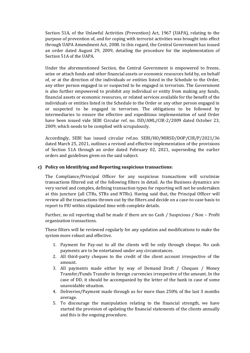Section 51A, of the Unlawful Activities (Prevention) Act, 1967 (UAPA), relating to the purpose of prevention of, and for coping with terrorist activities was brought into effect through UAPA Amendment Act, 2008. In this regard, the Central Government has issued an order dated August 29, 2009, detailing the procedure for the implementation of Section 51A of the UAPA.

Under the aforementioned Section, the Central Government is empowered to freeze, seize or attach funds and other financial assets or economic resources held by, on behalf of, or at the direction of the individuals or entities listed in the Schedule to the Order, any other person engaged in or suspected to be engaged in terrorism. The Government is also further empowered to prohibit any individual or entity from making any funds, financial assets or economic resources, or related services available for the benefit of the individuals or entities listed in the Schedule to the Order or any other person engaged in or suspected to be engaged in terrorism. The obligations to be followed by intermediaries to ensure the effective and expeditious implementation of said Order have been issued vide SEBI Circular ref. no. ISD/AML/CIR-2/2009 dated October 23, 2009, which needs to be complied with scrupulously.

Accordingly, SEBI has issued circular ref.no. SEBI/HO/MIRSD/DOP/CIR/P/2021/36 dated March 25, 2021, outlines a revised and effective implementation of the provisions of Section 51A through an order dated February 02, 2021, superseding the earlier orders and guidelines given on the said subject.

# **c) Policy on Identifying and Reporting suspicious transactions:**

The Compliance/Principal Officer for any suspicious transactions will scrutinize transactions filtered out of the following filters in detail. As the Business dynamics are very varied and complex, defining transaction types for reporting will not be undertaken at this juncture (all CTRs, STRs and NTRs). Having said that, the Principal Officer will review all the transactions thrown out by the filters and decide on a case-to-case basis to report to FIU within stipulated time with complete details.

Further, no nil reporting shall be made if there are no Cash / Suspicious / Non – Profit organization transactions.

These filters will be reviewed regularly for any updation and modifications to make the system more robust and effective.

- 1. Payment for Pay-out to all the clients will be only through cheque. No cash payments are to be entertained under any circumstances.
- 2. All third-party cheques to the credit of the client account irrespective of the amount.
- 3. All payments made either by way of Demand Draft / Cheques / Money Transfer/Funds Transfer in foreign currencies irrespective of the amount. In the case of DD, it should be accompanied by the letter of the bank in case of some unavoidable situation.
- 4. Deliveries/Payment made through us for more than 250% of the last 3 months average.
- 5. To discourage the manipulation relating to the financial strength, we have started the provision of updating the financial statements of the clients annually and this is the ongoing procedure.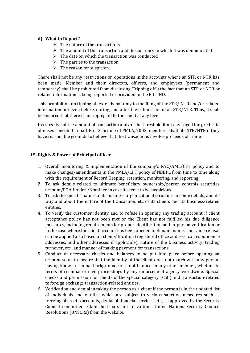# **d) What to Report?**

- $\triangleright$  The nature of the transactions
- $\triangleright$  The amount of the transaction and the currency in which it was denominated
- $\triangleright$  The date on which the transaction was conducted
- $\triangleright$  The parties to the transaction
- $\triangleright$  The reason for suspicion.

There shall not be any restrictions on operations in the accounts where an STR or NTR has been made. Member and their directors, officers, and employees (permanent and temporary) shall be prohibited from disclosing ("tipping off") the fact that an STR or NTR or related information is being reported or provided to the FIU-IND.

This prohibition on tipping off extends not only to the filing of the STR/ NTR and/or related information but even before, during, and after the submission of an STR/NTR. Thus, it shall be ensured that there is no tipping off to the client at any level.

Irrespective of the amount of transaction and/or the threshold limit envisaged for predicate offenses specified in part B of Schedule of PMLA, 2002, members shall file STR/NTR if they have reasonable grounds to believe that the transactions involve proceeds of crime.

# **15. Rights & Power of Principal officer**

- 1. Overall monitoring & implementation of the company's KYC/AML/CFT policy and to make changes/amendments in the PMLA/CFT policy of NBEPL from time to time along with the requirement of Record Keeping, retention, monitoring, and reporting.
- 2. To ask details related to ultimate beneficiary ownership/person controls securities account/POA Holder /Nominee in case it seems to be suspicious.
- 3. To ask the specific nature of its business organizational structure, income details, and its way and about the nature of the transaction, etc of its clients and its business-related entities.
- 4. To verify the customer identity and to refuse in opening any trading account if client acceptance policy has not been met or the Client has not fulfilled his due diligence measures, including requirements for proper identification and in-person verification or in the case where the client account has been opened in Benami name. The same refusal can be applied also based on clients' location (registered office address, correspondence addresses, and other addresses if applicable), nature of the business activity, trading turnover, etc., and manner of making payment for transactions.
- 5. Conduct of necessary checks and balances to be put into place before opening an account so as to ensure that the identity of the client does not match with any person having known criminal background or is not banned in any other manner, whether in terms of criminal or civil proceedings by any enforcement agency worldwide. Special checks and permission for clients of the special category (CSC) and transaction-related to foreign exchange transaction-related entities.
- 6. Verification and denial in taking the person as a client if the person is in the updated list of individuals and entities which are subject to various sanction measures such as freezing of assets/accounts, denial of financial services, etc., as approved by the Security Council committee established pursuant to various United Nations Security Council Resolutions (UNSCRs) from the website.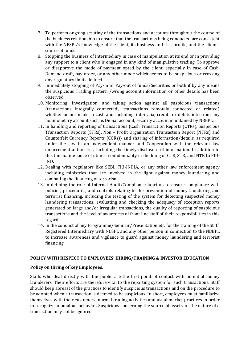- 7. To perform ongoing scrutiny of the transactions and accounts throughout the course of the business relationship to ensure that the transactions being conducted are consistent with the NBSPL's knowledge of the client, its business and risk profile, and the client's source of funds.
- 8. Stopping the business of Intermediary in case of manipulation at its end or in providing any support to a client who is engaged in any kind of manipulative trading. To approve or disapprove the mode of payment opted by the client, especially in case of Cash, Demand draft, pay order, or any other mode which seems to be suspicious or crossing any regulatory limits defined.
- 9. Immediately stopping of Pay-in or Pay-out of funds/Securities or both if by any means the suspicious Trading pattern /wrong account information or other details has been observed.
- 10. Monitoring, investigation, and taking action against all suspicious transactions (transactions integrally connected', 'transactions remotely connected or related) whether or not made in cash and including, inter-alia, credits or debits into from any nonmonetary account such as Demat account, security account maintained by NBEPL.
- 11. In handling and reporting of transactions {Cash Transaction Reports (CTRs), Suspicious Transaction Reports (STRs), Non – Profit Organisation Transaction Report (NTRs) and Counterfeit Currency Reports (CCRs)} and sharing of information/details, as required under the law in an independent manner and Cooperation with the relevant law enforcement authorities, including the timely disclosure of information. In addition to this the maintenance of utmost confidentiality in the filing of CTR, STR, and NTR to FIU-IND.
- 12. Dealing with regulators like SEBI, FIU-INDIA, or any other law enforcement agency including ministries that are involved in the fight against money laundering and combating the financing of terrorism.
- 13. In defining the role of Internal Audit/Compliance function to ensure compliance with policies, procedures, and controls relating to the prevention of money laundering and terrorist financing, including the testing of the system for detecting suspected money laundering transactions, evaluating and checking the adequacy of exception reports generated on large and/or irregular transactions, the quality of reporting of suspicious transactions and the level of awareness of front line staff of their responsibilities in this regard.
- 14. In the conduct of any Programme/Seminar/Presentation etc. for the training of the Staff, Registered Intermediary with NBSPL and any other person in connection to the NBEPL to increase awareness and vigilance to guard against money laundering and terrorist financing.

# **POLICY WITH RESPECT TO EMPLOYEES' HIRING/TRAINING & INVESTOR EDUCATION**

# **Policy on Hiring of key Employees:**

Staffs who deal directly with the public are the first point of contact with potential money launderers. Their efforts are therefore vital to the reporting system for such transactions. Staff should keep abreast of the practices to identify suspicious transactions and on the procedure to be adopted when a transaction is deemed to be suspicious. In short, employees must familiarize themselves with their customers' normal trading activities and usual market practices in order to recognize anomalous behavior. Suspicions concerning the source of assets, or the nature of a transaction may not be ignored.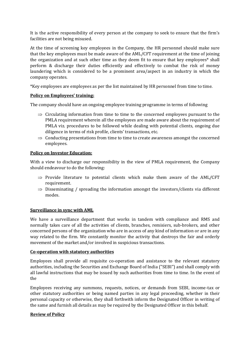It is the active responsibility of every person at the company to seek to ensure that the firm's facilities are not being misused.

At the time of screening key employees in the Company, the HR personnel should make sure that the key employees must be made aware of the AML/CFT requirement at the time of joining the organization and at such other time as they deem fit to ensure that key employees\* shall perform & discharge their duties efficiently and effectively to combat the risk of money laundering which is considered to be a prominent area/aspect in an industry in which the company operates.

\*Key employees are employees as per the list maintained by HR personnel from time to time.

# **Policy on Employees' training:**

The company should have an ongoing employee training programme in terms of following

- $\Rightarrow$  Circulating information from time to time to the concerned employees pursuant to the PMLA requirement wherein all the employees are made aware about the requirement of PMLA viz. procedures to be followed while dealing with potential clients, ongoing due diligence in terms of risk profile, clients' transactions, etc.
- $\Rightarrow$  Conducting presentations from time to time to create awareness amongst the concerned employees.

# **Policy on Investor Education:**

With a view to discharge our responsibility in the view of PMLA requirement, the Company should endeavour to do the following:

- $\Rightarrow$  Provide literature to potential clients which make them aware of the AML/CFT requirement.
- $\Rightarrow$  Disseminating / spreading the information amongst the investors/clients via different modes.

# **Surveillance in sync with AML**

We have a surveillance department that works in tandem with compliance and RMS and normally takes care of all the activities of clients, branches, remisiers, sub-brokers, and other concerned persons of the organization who are in access of any kind of information or are in any way related to the firm. We constantly monitor the activity that destroys the fair and orderly movement of the market and/or involved in suspicious transactions.

# **Co-operation with statutory authorities**

Employees shall provide all requisite co-operation and assistance to the relevant statutory authorities, including the Securities and Exchange Board of India ("SEBI") and shall comply with all lawful instructions that may be issued by such authorities from time to time. In the event of the

Employees receiving any summons, requests, notices, or demands from SEBI, income-tax or other statutory authorities or being named parties in any legal proceeding, whether in their personal capacity or otherwise, they shall forthwith inform the Designated Officer in writing of the same and furnish all details as may be required by the Designated Officer in this behalf.

# **Review of Policy**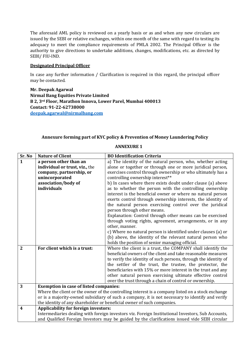The aforesaid AML policy is reviewed on a yearly basis or as and when any new circulars are issued by the SEBI or relative exchanges, within one month of the same with regard to testing its adequacy to meet the compliance requirements of PMLA 2002. The Principal Officer is the authority to give directions to undertake additions, changes, modifications, etc. as directed by SEBI/ FIU-IND.

# **Designated Principal Officer**

In case any further information / Clarification is required in this regard, the principal officer may be contacted.

**Mr. Deepak Agarwal Nirmal Bang Equities Private Limited B 2, 3rd Floor, Marathon Innova, Lower Parel, Mumbai 400013 Contact: 91-22-62738000 [deepak.agarwal@nirmalbang.com](mailto:deepak.agarwal@nirmalbang.com)**

# **Annexure forming part of KYC policy & Prevention of Money Laundering Policy**

| Sr. No         | <b>Nature of Client</b>                                                                           | <b>BO Identification Criteria</b>                                                                 |  |
|----------------|---------------------------------------------------------------------------------------------------|---------------------------------------------------------------------------------------------------|--|
| $\mathbf{1}$   | a person other than an                                                                            | a) The identity of the natural person, who, whether acting                                        |  |
|                | individual or trust, viz., the                                                                    | alone or together or through one or more juridical person,                                        |  |
|                | company, partnership, or                                                                          | exercises control through ownership or who ultimately has a                                       |  |
|                | unincorporated                                                                                    | controlling ownership interest**                                                                  |  |
|                | association/body of                                                                               | b) In cases where there exists doubt under clause (a) above                                       |  |
|                | individuals                                                                                       | as to whether the person with the controlling ownership                                           |  |
|                |                                                                                                   | interest is the beneficial owner or where no natural person                                       |  |
|                |                                                                                                   | exerts control through ownership interests, the identity of                                       |  |
|                |                                                                                                   | the natural person exercising control over the juridical                                          |  |
|                |                                                                                                   | person through other means.                                                                       |  |
|                |                                                                                                   | Explanation: Control through other means can be exercised                                         |  |
|                |                                                                                                   | through voting rights, agreement, arrangements, or in any                                         |  |
|                |                                                                                                   | other, manner.                                                                                    |  |
|                |                                                                                                   | c) Where no natural person is identified under clauses (a) or                                     |  |
|                |                                                                                                   | (b) above, the identity of the relevant natural person who                                        |  |
|                |                                                                                                   | holds the position of senior managing official.                                                   |  |
| $\overline{2}$ | For client which is a trust:                                                                      | Where the client is a trust, the COMPANY shall identify the                                       |  |
|                |                                                                                                   | beneficial owners of the client and take reasonable measures                                      |  |
|                |                                                                                                   | to verify the identity of such persons, through the identity of                                   |  |
|                |                                                                                                   | the settler of the trust, the trustee, the protector, the                                         |  |
|                |                                                                                                   | beneficiaries with 15% or more interest in the trust and any                                      |  |
|                |                                                                                                   | other natural person exercising ultimate effective control                                        |  |
|                |                                                                                                   | over the trust through a chain of control or ownership.                                           |  |
| 3              |                                                                                                   | <b>Exemption in case of listed companies:</b>                                                     |  |
|                |                                                                                                   | Where the client or the owner of the controlling interest is a company listed on a stock exchange |  |
|                |                                                                                                   | or is a majority-owned subsidiary of such a company, it is not necessary to identify and verify   |  |
|                | the identity of any shareholder or beneficial owner of such companies.                            |                                                                                                   |  |
| 4              | <b>Applicability for foreign investors:</b>                                                       |                                                                                                   |  |
|                | Intermediaries dealing with foreign investors viz. Foreign Institutional Investors, Sub Accounts, |                                                                                                   |  |
|                | and Qualified Foreign Investors may be guided by the clarifications issued vide SEBI circular     |                                                                                                   |  |

# **ANNEXURE 1**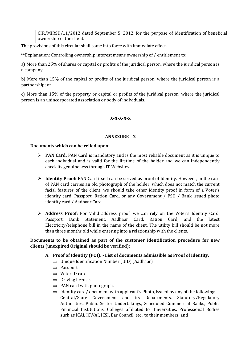CIR/MIRSD/11/2012 dated September 5, 2012, for the purpose of identification of beneficial ownership of the client.

The provisions of this circular shall come into force with immediate effect.

\*\*Explanation: Controlling ownership interest means ownership of / entitlement to:

a) More than 25% of shares or capital or profits of the juridical person, where the juridical person is a company

b) More than 15% of the capital or profits of the juridical person, where the juridical person is a partnership; or

c) More than 15% of the property or capital or profits of the juridical person, where the juridical person is an unincorporated association or body of individuals.

# **X-X-X-X-X**

#### **ANNEXURE – 2**

#### **Documents which can be relied upon:**

- **PAN Card:** PAN Card is mandatory and is the most reliable document as it is unique to each individual and is valid for the lifetime of the holder and we can independently check its genuineness through IT Websites.
- **Identity Proof:** PAN Card itself can be served as proof of Identity. However, in the case of PAN card carries an old photograph of the holder, which does not match the current facial features of the client, we should take other identity proof in form of a Voter's identity card, Passport, Ration Card, or any Government / PSU / Bank issued photo identity card / Aadhaar Card.
- **Address Proof:** For Valid address proof, we can rely on the Voter's Identity Card, Passport, Bank Statement, Aadhaar Card, Ration Card, and the latest Electricity/telephone bill in the name of the client. The utility bill should be not more than three months old while entering into a relationship with the clients.

# **Documents to be obtained as part of the customer identification procedure for new clients (unexpired Original should be verified):**

- **A. Proof of Identity (POI): - List of documents admissible as Proof of Identity:**
	- $\Rightarrow$  Unique Identification Number (UID) (Aadhaar)
	- $\Rightarrow$  Passport
	- $\Rightarrow$  Voter ID card
	- $\Rightarrow$  Driving license.
	- $\Rightarrow$  PAN card with photograph.
	- $\Rightarrow$  Identity card/ document with applicant's Photo, issued by any of the following: Central/State Government and its Departments, Statutory/Regulatory Authorities, Public Sector Undertakings, Scheduled Commercial Banks, Public Financial Institutions, Colleges affiliated to Universities, Professional Bodies such as ICAI, ICWAI, ICSI, Bar Council, etc., to their members; and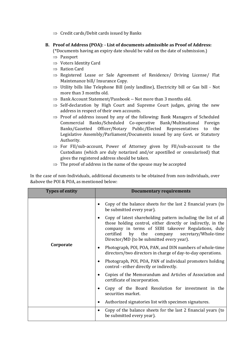$\Rightarrow$  Credit cards/Debit cards issued by Banks

# **B. Proof of Address (POA): - List of documents admissible as Proof of Address:**

(\*Documents having an expiry date should be valid on the date of submission.)

- $\Rightarrow$  Passport
- $\Rightarrow$  Voters Identity Card
- $\Rightarrow$  Ration Card
- $\Rightarrow$  Registered Lease or Sale Agreement of Residence/ Driving License/ Flat Maintenance bill/ Insurance Copy.
- $\Rightarrow$  Utility bills like Telephone Bill (only landline), Electricity bill or Gas bill Not more than 3 months old.
- $\Rightarrow$  Bank Account Statement/Passbook -- Not more than 3 months old.
- $\Rightarrow$  Self-declaration by High Court and Supreme Court judges, giving the new address in respect of their own accounts.
- $\Rightarrow$  Proof of address issued by any of the following: Bank Managers of Scheduled Commercial Banks/Scheduled Co-operative Bank/Multinational Foreign Banks/Gazetted Officer/Notary Public/Elected Representatives to the Legislative Assembly/Parliament/Documents issued by any Govt. or Statutory Authority.
- $\Rightarrow$  For FII/sub-account, Power of Attorney given by FII/sub-account to the Custodians (which are duly notarized and/or apostilled or consularised) that gives the registered address should be taken.
- $\Rightarrow$  The proof of address in the name of the spouse may be accepted

In the case of non-Individuals, additional documents to be obtained from non-individuals, over &above the POI & POA, as mentioned below:

| <b>Types of entity</b> | <b>Documentary requirements</b>                                                                                                                                                                                                                                                             |
|------------------------|---------------------------------------------------------------------------------------------------------------------------------------------------------------------------------------------------------------------------------------------------------------------------------------------|
|                        | Copy of the balance sheets for the last 2 financial years (to<br>be submitted every year).                                                                                                                                                                                                  |
|                        | Copy of latest shareholding pattern including the list of all<br>those holding control, either directly or indirectly, in the<br>company in terms of SEBI takeover Regulations, duly<br>certified<br>company secretary/Whole-time<br>the<br>by<br>Director/MD (to be submitted every year). |
| Corporate              | Photograph, POI, POA, PAN, and DIN numbers of whole-time<br>directors/two directors in charge of day-to-day operations.                                                                                                                                                                     |
|                        | Photograph, POI, POA, PAN of individual promoters holding<br>control - either directly or indirectly.                                                                                                                                                                                       |
|                        | Copies of the Memorandum and Articles of Association and<br>certificate of incorporation.                                                                                                                                                                                                   |
|                        | Copy of the Board Resolution for investment in the<br>securities market.                                                                                                                                                                                                                    |
|                        | Authorized signatories list with specimen signatures.                                                                                                                                                                                                                                       |
|                        | Copy of the balance sheets for the last 2 financial years (to<br>$\bullet$<br>be submitted every year).                                                                                                                                                                                     |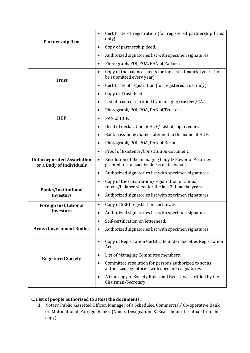| Partnership firm                                              | Certificate of registration (for registered partnership firms<br>$\bullet$<br>only)                                    |
|---------------------------------------------------------------|------------------------------------------------------------------------------------------------------------------------|
|                                                               | Copy of partnership deed.<br>$\bullet$                                                                                 |
|                                                               | Authorized signatories list with specimen signatures.<br>$\bullet$                                                     |
|                                                               | Photograph, POI, POA, PAN of Partners.<br>$\bullet$                                                                    |
| <b>Trust</b>                                                  | Copy of the balance sheets for the last 2 financial years (to<br>$\bullet$<br>be submitted every year).                |
|                                                               | Certificate of registration (for registered trust only).<br>$\bullet$                                                  |
|                                                               | Copy of Trust deed.<br>$\bullet$                                                                                       |
|                                                               | List of trustees certified by managing trustees/CA.<br>$\bullet$                                                       |
|                                                               | Photograph, POI, POA, PAN of Trustees.<br>$\bullet$                                                                    |
| <b>HUF</b>                                                    | PAN of HUF.<br>$\bullet$                                                                                               |
|                                                               | Deed of declaration of HUF/List of coparceners.<br>$\bullet$                                                           |
|                                                               | Bank pass-book/bank statement in the name of HUF.<br>$\bullet$                                                         |
|                                                               | Photograph, POI, POA, PAN of Karta.<br>$\bullet$                                                                       |
|                                                               | Proof of Existence/Constitution document.<br>$\bullet$                                                                 |
| <b>Unincorporated Association</b><br>or a Body of Individuals | Resolution of the managing body & Power of Attorney<br>$\bullet$<br>granted to transact business on its behalf.        |
|                                                               | Authorized signatories list with specimen signatures.<br>$\bullet$                                                     |
| <b>Banks/Institutional</b>                                    | Copy of the constitution/registration or annual<br>$\bullet$<br>report/balance sheet for the last 2 financial years.   |
| <b>Investors</b>                                              | Authorized signatories list with specimen signatures.<br>٠                                                             |
| <b>Foreign Institutional</b>                                  | Copy of SEBI registration certificate.<br>$\bullet$                                                                    |
| <b>Investors</b>                                              | Authorized signatories list with specimen signatures.<br>$\bullet$                                                     |
|                                                               | Self-certification on letterhead.<br>$\bullet$                                                                         |
| <b>Army/Government Bodies</b>                                 | Authorized signatories list with specimen signatures.<br>$\bullet$                                                     |
|                                                               | Copy of Registration Certificate under Societies Registration<br>$\bullet$<br>Act.                                     |
|                                                               | List of Managing Committee members.<br>$\bullet$                                                                       |
| <b>Registered Society</b>                                     | Committee resolution for persons authorized to act as<br>$\bullet$<br>authorized signatories with specimen signatures. |
|                                                               | A true copy of Society Rules and Bye-Laws certified by the<br>$\bullet$<br>Chairman/Secretary.                         |

# **C. List of people authorized to attest the documents:**

**1.** Notary Public, Gazetted Officer, Manager of a Scheduled Commercial/ Co-operative Bank or Multinational Foreign Banks (Name, Designation & Seal should be affixed on the copy).